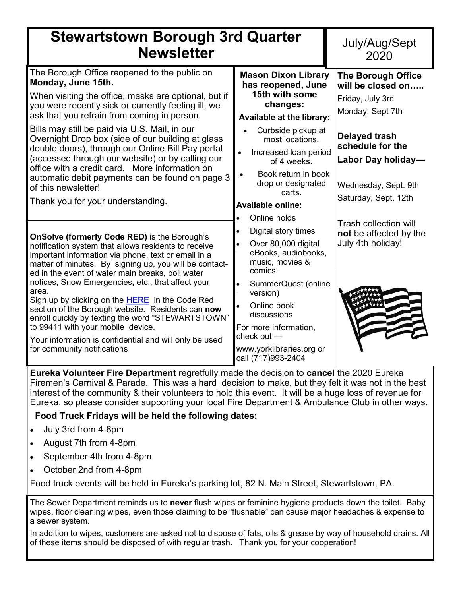| <b>Stewartstown Borough 3rd Quarter</b><br><b>Newsletter</b>                                                                                                                                                                                                  | July/Aug/Sept<br>2020                                                    |                                                                                                         |  |
|---------------------------------------------------------------------------------------------------------------------------------------------------------------------------------------------------------------------------------------------------------------|--------------------------------------------------------------------------|---------------------------------------------------------------------------------------------------------|--|
| The Borough Office reopened to the public on<br>Monday, June 15th.                                                                                                                                                                                            | <b>Mason Dixon Library</b><br>has reopened, June                         | <b>The Borough Office</b><br>will be closed on                                                          |  |
| When visiting the office, masks are optional, but if<br>you were recently sick or currently feeling ill, we                                                                                                                                                   | 15th with some<br>changes:                                               | Friday, July 3rd                                                                                        |  |
| ask that you refrain from coming in person.                                                                                                                                                                                                                   | <b>Available at the library:</b>                                         | Monday, Sept 7th                                                                                        |  |
| Bills may still be paid via U.S. Mail, in our<br>Overnight Drop box (side of our building at glass<br>double doors), through our Online Bill Pay portal<br>(accessed through our website) or by calling our<br>office with a credit card. More information on | Curbside pickup at<br>most locations.                                    | Delayed trash<br>schedule for the<br>Labor Day holiday-<br>Wednesday, Sept. 9th<br>Saturday, Sept. 12th |  |
|                                                                                                                                                                                                                                                               | Increased loan period<br>of 4 weeks.                                     |                                                                                                         |  |
| automatic debit payments can be found on page 3<br>of this newsletter!                                                                                                                                                                                        | Book return in book<br>drop or designated<br>carts.                      |                                                                                                         |  |
| Thank you for your understanding.                                                                                                                                                                                                                             | <b>Available online:</b>                                                 |                                                                                                         |  |
|                                                                                                                                                                                                                                                               | Online holds                                                             | <b>Trash collection will</b>                                                                            |  |
| <b>OnSolve (formerly Code RED)</b> is the Borough's                                                                                                                                                                                                           | Digital story times                                                      | not be affected by the<br>July 4th holiday!                                                             |  |
| notification system that allows residents to receive<br>important information via phone, text or email in a<br>matter of minutes. By signing up, you will be contact-<br>ed in the event of water main breaks, boil water                                     | Over 80,000 digital<br>eBooks, audiobooks,<br>music, movies &<br>comics. |                                                                                                         |  |
| notices, Snow Emergencies, etc., that affect your<br>area.                                                                                                                                                                                                    | SummerQuest (online<br>version)                                          |                                                                                                         |  |
| Sign up by clicking on the <b>HERE</b> in the Code Red<br>section of the Borough website. Residents can now<br>enroll quickly by texting the word "STEWARTSTOWN"                                                                                              | Online book<br>discussions                                               |                                                                                                         |  |
| to 99411 with your mobile device.                                                                                                                                                                                                                             | For more information,<br>$check$ out $-$                                 |                                                                                                         |  |
| Your information is confidential and will only be used<br>for community notifications                                                                                                                                                                         | www.yorklibraries.org or<br>call (717)993-2404                           |                                                                                                         |  |

**Eureka Volunteer Fire Department** regretfully made the decision to **cancel** the 2020 Eureka Firemen's Carnival & Parade. This was a hard decision to make, but they felt it was not in the best interest of the community & their volunteers to hold this event. It will be a huge loss of revenue for Eureka, so please consider supporting your local Fire Department & Ambulance Club in other ways.

# **Food Truck Fridays will be held the following dates:**

- July 3rd from 4-8pm
- August 7th from 4-8pm
- September 4th from 4-8pm
- October 2nd from 4-8pm

Food truck events will be held in Eureka's parking lot, 82 N. Main Street, Stewartstown, PA.

The Sewer Department reminds us to **never** flush wipes or feminine hygiene products down the toilet. Baby wipes, floor cleaning wipes, even those claiming to be "flushable" can cause major headaches & expense to a sewer system.

In addition to wipes, customers are asked not to dispose of fats, oils & grease by way of household drains. All of these items should be disposed of with regular trash. Thank you for your cooperation!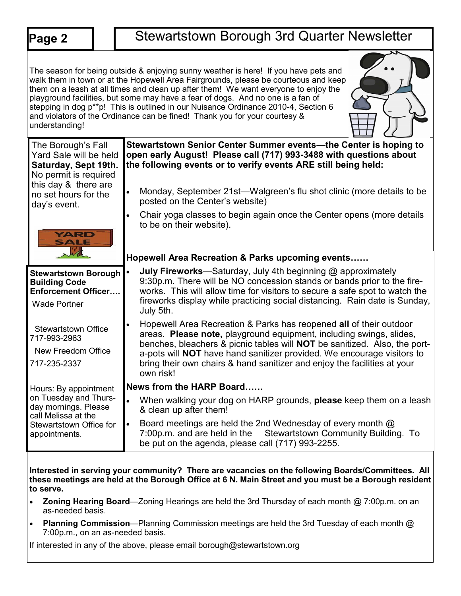| Page 2                                                                                                                                                                                                      |                                                                                                                                                                                          | Stewartstown Borough 3rd Quarter Newsletter                                                                                                                                                                                                                                                                                                                                                                                                                                                                                           |  |
|-------------------------------------------------------------------------------------------------------------------------------------------------------------------------------------------------------------|------------------------------------------------------------------------------------------------------------------------------------------------------------------------------------------|---------------------------------------------------------------------------------------------------------------------------------------------------------------------------------------------------------------------------------------------------------------------------------------------------------------------------------------------------------------------------------------------------------------------------------------------------------------------------------------------------------------------------------------|--|
| understanding!                                                                                                                                                                                              |                                                                                                                                                                                          | The season for being outside & enjoying sunny weather is here! If you have pets and<br>walk them in town or at the Hopewell Area Fairgrounds, please be courteous and keep<br>them on a leash at all times and clean up after them! We want everyone to enjoy the<br>playground facilities, but some may have a fear of dogs. And no one is a fan of<br>stepping in dog p <sup>**</sup> p! This is outlined in our Nuisance Ordinance 2010-4, Section 6<br>and violators of the Ordinance can be fined! Thank you for your courtesy & |  |
| The Borough's Fall<br>Yard Sale will be held<br>Saturday, Sept 19th.<br>No permit is required<br>this day & there are<br>$\bullet$<br>no set hours for the<br>day's event.<br>YARD<br>SALE<br>$\mathcal{L}$ |                                                                                                                                                                                          | Stewartstown Senior Center Summer events-the Center is hoping to<br>open early August! Please call (717) 993-3488 with questions about<br>the following events or to verify events ARE still being held:<br>Monday, September 21st-Walgreen's flu shot clinic (more details to be<br>posted on the Center's website)<br>Chair yoga classes to begin again once the Center opens (more details                                                                                                                                         |  |
|                                                                                                                                                                                                             |                                                                                                                                                                                          | to be on their website).<br>Hopewell Area Recreation & Parks upcoming events                                                                                                                                                                                                                                                                                                                                                                                                                                                          |  |
| <b>Stewartstown Borough</b><br><b>Building Code</b><br><b>Enforcement Officer</b><br><b>Wade Portner</b>                                                                                                    |                                                                                                                                                                                          | <b>July Fireworks</b> —Saturday, July 4th beginning @ approximately<br>9:30p.m. There will be NO concession stands or bands prior to the fire-<br>works. This will allow time for visitors to secure a safe spot to watch the<br>fireworks display while practicing social distancing. Rain date is Sunday,<br>July 5th.                                                                                                                                                                                                              |  |
| <b>Stewartstown Office</b><br>717-993-2963<br>New Freedom Office<br>717-235-2337                                                                                                                            |                                                                                                                                                                                          | Hopewell Area Recreation & Parks has reopened all of their outdoor<br>$\bullet$<br>areas. Please note, playground equipment, including swings, slides,<br>benches, bleachers & picnic tables will NOT be sanitized. Also, the port-<br>a-pots will NOT have hand sanitizer provided. We encourage visitors to<br>bring their own chairs & hand sanitizer and enjoy the facilities at your<br>own risk!                                                                                                                                |  |
| Hours: By appointment<br>on Tuesday and Thurs-<br>day mornings. Please<br>call Melissa at the<br>Stewartstown Office for<br>appointments.                                                                   | News from the HARP Board                                                                                                                                                                 |                                                                                                                                                                                                                                                                                                                                                                                                                                                                                                                                       |  |
|                                                                                                                                                                                                             | When walking your dog on HARP grounds, please keep them on a leash<br>& clean up after them!                                                                                             |                                                                                                                                                                                                                                                                                                                                                                                                                                                                                                                                       |  |
|                                                                                                                                                                                                             | Board meetings are held the 2nd Wednesday of every month $@$<br>7:00p.m. and are held in the<br>Stewartstown Community Building. To<br>be put on the agenda, please call (717) 993-2255. |                                                                                                                                                                                                                                                                                                                                                                                                                                                                                                                                       |  |

**Interested in serving your community? There are vacancies on the following Boards/Committees. All these meetings are held at the Borough Office at 6 N. Main Street and you must be a Borough resident to serve.** 

- **Zoning Hearing Board**—Zoning Hearings are held the 3rd Thursday of each month @ 7:00p.m. on an as-needed basis.
- **Planning Commission**—Planning Commission meetings are held the 3rd Tuesday of each month @ 7:00p.m., on an as-needed basis.

If interested in any of the above, please email borough@stewartstown.org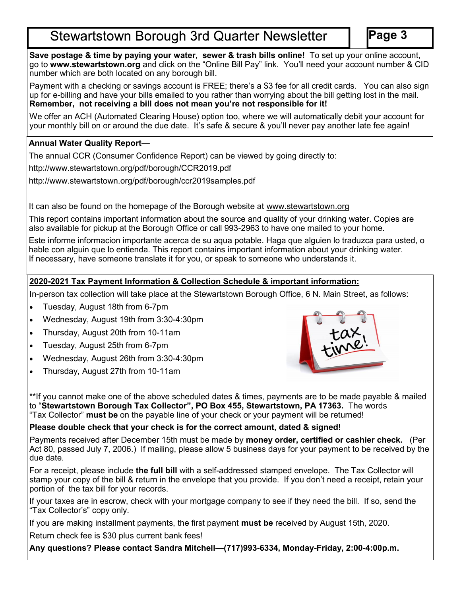# **Stewartstown Borough 3rd Quarter Newsletter**

**Page 3**

**Save postage & time by paying your water, sewer & trash bills online!** To set up your online account, go to **www.stewartstown.org** and click on the "Online Bill Pay" link. You'll need your account number & CID number which are both located on any borough bill.

Payment with a checking or savings account is FREE; there's a \$3 fee for all credit cards. You can also sign up for e-billing and have your bills emailed to you rather than worrying about the bill getting lost in the mail. **Remember, not receiving a bill does not mean you're not responsible for it!**

We offer an ACH (Automated Clearing House) option too, where we will automatically debit your account for your monthly bill on or around the due date. It's safe & secure & you'll never pay another late fee again!

## **Annual Water Quality Report—**

The annual CCR (Consumer Confidence Report) can be viewed by going directly to:

http://www.stewartstown.org/pdf/borough/CCR2019.pdf

http://www.stewartstown.org/pdf/borough/ccr2019samples.pdf

It can also be found on the homepage of the Borough website at www.stewartstown.org

This report contains important information about the source and quality of your drinking water. Copies are also available for pickup at the Borough Office or call 993-2963 to have one mailed to your home.

Este informe informacion importante acerca de su aqua potable. Haga que alguien lo traduzca para usted, o hable con alguin que lo entienda. This report contains important information about your drinking water. If necessary, have someone translate it for you, or speak to someone who understands it.

## **2020-2021 Tax Payment Information & Collection Schedule & important information:**

In-person tax collection will take place at the Stewartstown Borough Office, 6 N. Main Street, as follows:

- Tuesday, August 18th from 6-7pm
- Wednesday, August 19th from 3:30-4:30pm
- Thursday, August 20th from 10-11am
- Tuesday, August 25th from 6-7pm
- Wednesday, August 26th from 3:30-4:30pm
- Thursday, August 27th from 10-11am



\*\*If you cannot make one of the above scheduled dates & times, payments are to be made payable & mailed to "**Stewartstown Borough Tax Collector", PO Box 455, Stewartstown, PA 17363.** The words "Tax Collector" **must be** on the payable line of your check or your payment will be returned!

### **Please double check that your check is for the correct amount, dated & signed!**

Payments received after December 15th must be made by **money order, certified or cashier check.** (Per Act 80, passed July 7, 2006.) If mailing, please allow 5 business days for your payment to be received by the due date.

For a receipt, please include **the full bill** with a self-addressed stamped envelope. The Tax Collector will stamp your copy of the bill & return in the envelope that you provide. If you don't need a receipt, retain your portion of the tax bill for your records.

If your taxes are in escrow, check with your mortgage company to see if they need the bill. If so, send the "Tax Collector's" copy only.

If you are making installment payments, the first payment **must be** received by August 15th, 2020.

Return check fee is \$30 plus current bank fees!

**Any questions? Please contact Sandra Mitchell—(717)993-6334, Monday-Friday, 2:00-4:00p.m.**